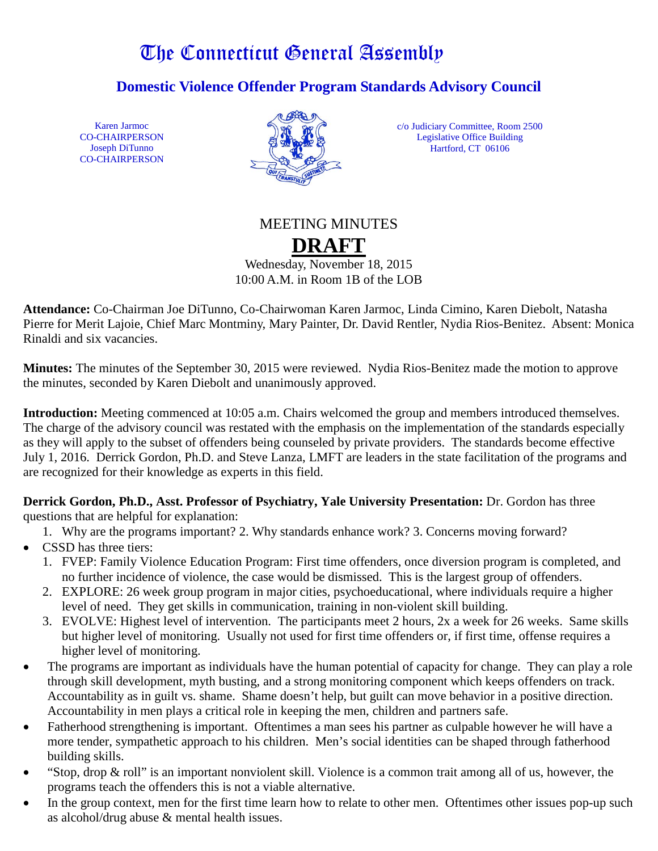# The Connecticut General Assembly

**Domestic Violence Offender Program Standards Advisory Council**

Karen Jarmoc CO-CHAIRPERSON Joseph DiTunno CO-CHAIRPERSON



c/o Judiciary Committee, Room 2500 Legislative Office Building Hartford, CT 06106

# MEETING MINUTES **DRAFT**

Wednesday, November 18, 2015 10:00 A.M. in Room 1B of the LOB

**Attendance:** Co-Chairman Joe DiTunno, Co-Chairwoman Karen Jarmoc, Linda Cimino, Karen Diebolt, Natasha Pierre for Merit Lajoie, Chief Marc Montminy, Mary Painter, Dr. David Rentler, Nydia Rios-Benitez. Absent: Monica Rinaldi and six vacancies.

**Minutes:** The minutes of the September 30, 2015 were reviewed. Nydia Rios-Benitez made the motion to approve the minutes, seconded by Karen Diebolt and unanimously approved.

**Introduction:** Meeting commenced at 10:05 a.m. Chairs welcomed the group and members introduced themselves. The charge of the advisory council was restated with the emphasis on the implementation of the standards especially as they will apply to the subset of offenders being counseled by private providers. The standards become effective July 1, 2016. Derrick Gordon, Ph.D. and Steve Lanza, LMFT are leaders in the state facilitation of the programs and are recognized for their knowledge as experts in this field.

**Derrick Gordon, Ph.D., Asst. Professor of Psychiatry, Yale University Presentation:** Dr. Gordon has three questions that are helpful for explanation:

1. Why are the programs important? 2. Why standards enhance work? 3. Concerns moving forward?

- CSSD has three tiers:
	- 1. FVEP: Family Violence Education Program: First time offenders, once diversion program is completed, and no further incidence of violence, the case would be dismissed. This is the largest group of offenders.
	- 2. EXPLORE: 26 week group program in major cities, psychoeducational, where individuals require a higher level of need. They get skills in communication, training in non-violent skill building.
	- 3. EVOLVE: Highest level of intervention. The participants meet 2 hours, 2x a week for 26 weeks. Same skills but higher level of monitoring. Usually not used for first time offenders or, if first time, offense requires a higher level of monitoring.
- The programs are important as individuals have the human potential of capacity for change. They can play a role through skill development, myth busting, and a strong monitoring component which keeps offenders on track. Accountability as in guilt vs. shame. Shame doesn't help, but guilt can move behavior in a positive direction. Accountability in men plays a critical role in keeping the men, children and partners safe.
- Fatherhood strengthening is important. Oftentimes a man sees his partner as culpable however he will have a more tender, sympathetic approach to his children. Men's social identities can be shaped through fatherhood building skills.
- "Stop, drop & roll" is an important nonviolent skill. Violence is a common trait among all of us, however, the programs teach the offenders this is not a viable alternative.
- In the group context, men for the first time learn how to relate to other men. Oftentimes other issues pop-up such as alcohol/drug abuse & mental health issues.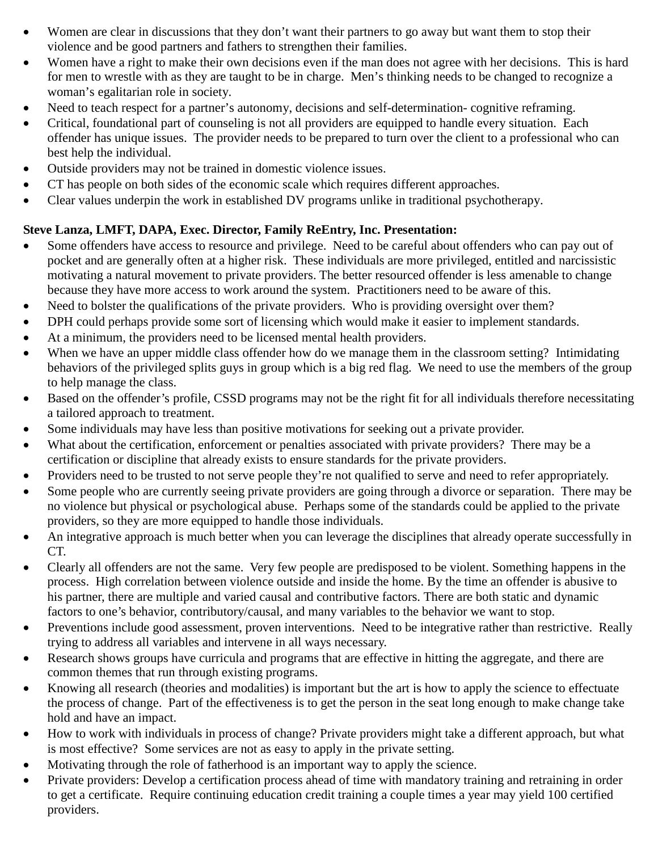- Women are clear in discussions that they don't want their partners to go away but want them to stop their violence and be good partners and fathers to strengthen their families.
- Women have a right to make their own decisions even if the man does not agree with her decisions. This is hard for men to wrestle with as they are taught to be in charge. Men's thinking needs to be changed to recognize a woman's egalitarian role in society.
- Need to teach respect for a partner's autonomy, decisions and self-determination- cognitive reframing.
- Critical, foundational part of counseling is not all providers are equipped to handle every situation. Each offender has unique issues. The provider needs to be prepared to turn over the client to a professional who can best help the individual.
- Outside providers may not be trained in domestic violence issues.
- CT has people on both sides of the economic scale which requires different approaches.
- Clear values underpin the work in established DV programs unlike in traditional psychotherapy.

## **Steve Lanza, LMFT, DAPA, Exec. Director, Family ReEntry, Inc. Presentation:**

- Some offenders have access to resource and privilege. Need to be careful about offenders who can pay out of pocket and are generally often at a higher risk. These individuals are more privileged, entitled and narcissistic motivating a natural movement to private providers. The better resourced offender is less amenable to change because they have more access to work around the system. Practitioners need to be aware of this.
- Need to bolster the qualifications of the private providers. Who is providing oversight over them?
- DPH could perhaps provide some sort of licensing which would make it easier to implement standards.
- At a minimum, the providers need to be licensed mental health providers.
- When we have an upper middle class offender how do we manage them in the classroom setting? Intimidating behaviors of the privileged splits guys in group which is a big red flag. We need to use the members of the group to help manage the class.
- Based on the offender's profile, CSSD programs may not be the right fit for all individuals therefore necessitating a tailored approach to treatment.
- Some individuals may have less than positive motivations for seeking out a private provider.
- What about the certification, enforcement or penalties associated with private providers? There may be a certification or discipline that already exists to ensure standards for the private providers.
- Providers need to be trusted to not serve people they're not qualified to serve and need to refer appropriately.
- Some people who are currently seeing private providers are going through a divorce or separation. There may be no violence but physical or psychological abuse. Perhaps some of the standards could be applied to the private providers, so they are more equipped to handle those individuals.
- An integrative approach is much better when you can leverage the disciplines that already operate successfully in CT.
- Clearly all offenders are not the same. Very few people are predisposed to be violent. Something happens in the process. High correlation between violence outside and inside the home. By the time an offender is abusive to his partner, there are multiple and varied causal and contributive factors. There are both static and dynamic factors to one's behavior, contributory/causal, and many variables to the behavior we want to stop.
- Preventions include good assessment, proven interventions. Need to be integrative rather than restrictive. Really trying to address all variables and intervene in all ways necessary.
- Research shows groups have curricula and programs that are effective in hitting the aggregate, and there are common themes that run through existing programs.
- Knowing all research (theories and modalities) is important but the art is how to apply the science to effectuate the process of change. Part of the effectiveness is to get the person in the seat long enough to make change take hold and have an impact.
- How to work with individuals in process of change? Private providers might take a different approach, but what is most effective? Some services are not as easy to apply in the private setting.
- Motivating through the role of fatherhood is an important way to apply the science.
- Private providers: Develop a certification process ahead of time with mandatory training and retraining in order to get a certificate. Require continuing education credit training a couple times a year may yield 100 certified providers.